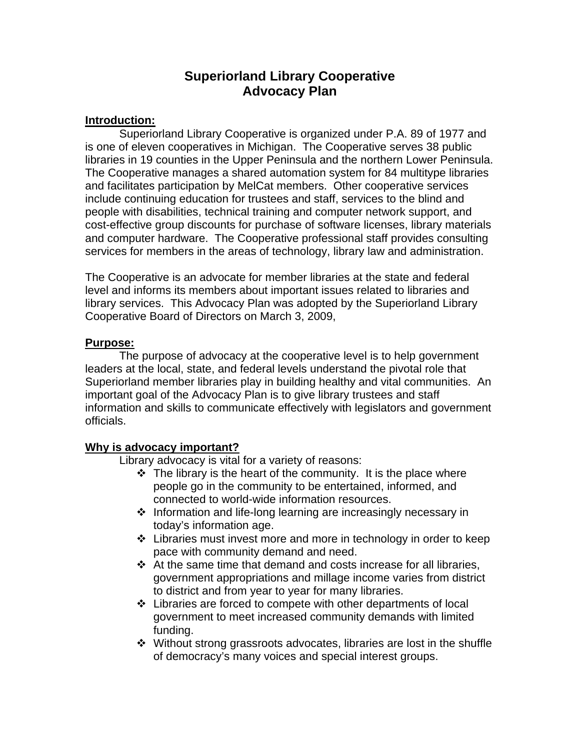# **Superiorland Library Cooperative Advocacy Plan**

### **Introduction:**

 Superiorland Library Cooperative is organized under P.A. 89 of 1977 and is one of eleven cooperatives in Michigan. The Cooperative serves 38 public libraries in 19 counties in the Upper Peninsula and the northern Lower Peninsula. The Cooperative manages a shared automation system for 84 multitype libraries and facilitates participation by MelCat members. Other cooperative services include continuing education for trustees and staff, services to the blind and people with disabilities, technical training and computer network support, and cost-effective group discounts for purchase of software licenses, library materials and computer hardware. The Cooperative professional staff provides consulting services for members in the areas of technology, library law and administration.

The Cooperative is an advocate for member libraries at the state and federal level and informs its members about important issues related to libraries and library services. This Advocacy Plan was adopted by the Superiorland Library Cooperative Board of Directors on March 3, 2009,

### **Purpose:**

 The purpose of advocacy at the cooperative level is to help government leaders at the local, state, and federal levels understand the pivotal role that Superiorland member libraries play in building healthy and vital communities. An important goal of the Advocacy Plan is to give library trustees and staff information and skills to communicate effectively with legislators and government officials.

# **Why is advocacy important?**

Library advocacy is vital for a variety of reasons:

- $\cdot \cdot$  The library is the heart of the community. It is the place where people go in the community to be entertained, informed, and connected to world-wide information resources.
- ❖ Information and life-long learning are increasingly necessary in today's information age.
- Libraries must invest more and more in technology in order to keep pace with community demand and need.
- At the same time that demand and costs increase for all libraries, government appropriations and millage income varies from district to district and from year to year for many libraries.
- Libraries are forced to compete with other departments of local government to meet increased community demands with limited funding.
- Without strong grassroots advocates, libraries are lost in the shuffle of democracy's many voices and special interest groups.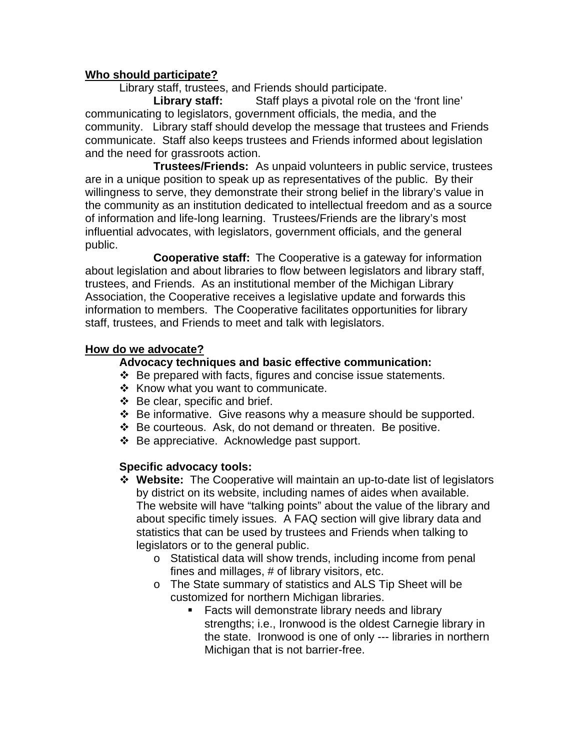## **Who should participate?**

Library staff, trustees, and Friends should participate.

Library staff: Staff plays a pivotal role on the 'front line' communicating to legislators, government officials, the media, and the community. Library staff should develop the message that trustees and Friends communicate. Staff also keeps trustees and Friends informed about legislation and the need for grassroots action.

 **Trustees/Friends:** As unpaid volunteers in public service, trustees are in a unique position to speak up as representatives of the public. By their willingness to serve, they demonstrate their strong belief in the library's value in the community as an institution dedicated to intellectual freedom and as a source of information and life-long learning. Trustees/Friends are the library's most influential advocates, with legislators, government officials, and the general public.

 **Cooperative staff:** The Cooperative is a gateway for information about legislation and about libraries to flow between legislators and library staff, trustees, and Friends. As an institutional member of the Michigan Library Association, the Cooperative receives a legislative update and forwards this information to members. The Cooperative facilitates opportunities for library staff, trustees, and Friends to meet and talk with legislators.

#### **How do we advocate?**

#### **Advocacy techniques and basic effective communication:**

- $\div$  Be prepared with facts, figures and concise issue statements.
- $\div$  Know what you want to communicate.
- $\div$  Be clear, specific and brief.
- ❖ Be informative. Give reasons why a measure should be supported.
- $\div$  Be courteous. Ask, do not demand or threaten. Be positive.
- ❖ Be appreciative. Acknowledge past support.

#### **Specific advocacy tools:**

- **Website:** The Cooperative will maintain an up-to-date list of legislators by district on its website, including names of aides when available. The website will have "talking points" about the value of the library and about specific timely issues. A FAQ section will give library data and statistics that can be used by trustees and Friends when talking to legislators or to the general public.
	- o Statistical data will show trends, including income from penal fines and millages, # of library visitors, etc.
	- o The State summary of statistics and ALS Tip Sheet will be customized for northern Michigan libraries.
		- **Facts will demonstrate library needs and library** strengths; i.e., Ironwood is the oldest Carnegie library in the state. Ironwood is one of only --- libraries in northern Michigan that is not barrier-free.